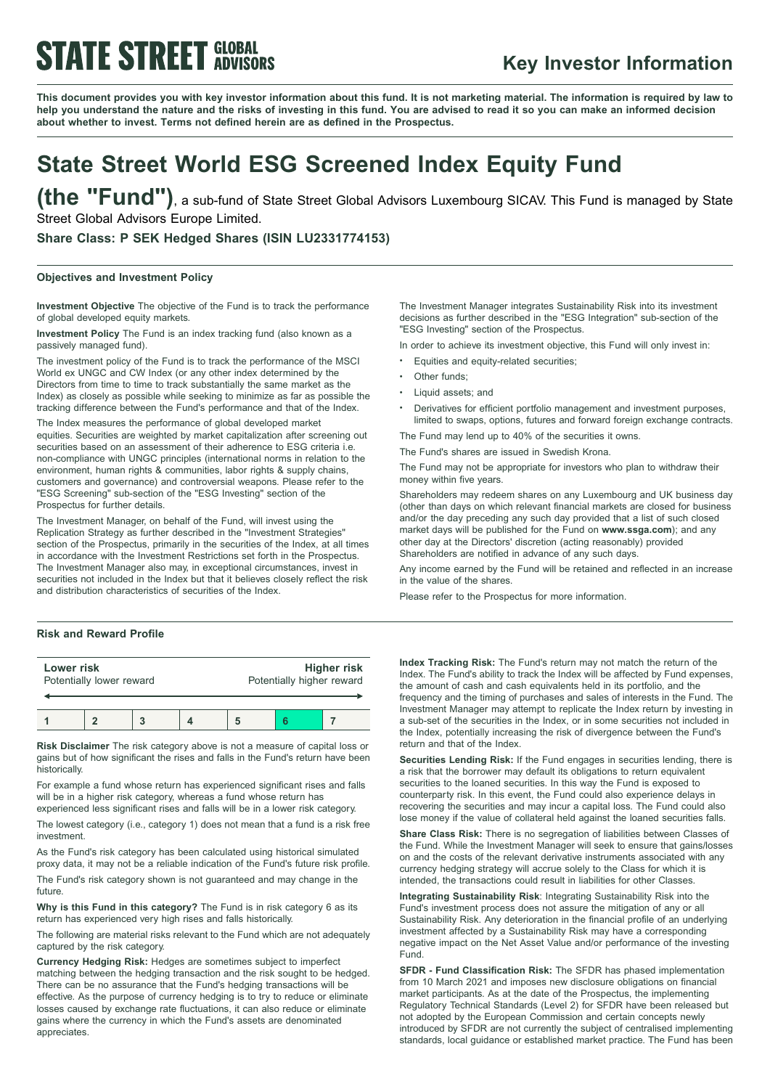# **STATE STREET GLOBAL**

### **Key Investor Information**

This document provides you with key investor information about this fund. It is not marketing material. The information is required by law to help you understand the nature and the risks of investing in this fund. You are advised to read it so you can make an informed decision **about whether to invest. Terms not defined herein are as defined in the Prospectus.**

## **State Street World ESG Screened Index Equity Fund**

**(the "Fund")**, <sup>a</sup> sub-fund of State Street Global Advisors Luxembourg SICAV. This Fund is managed by State Street Global Advisors Europe Limited.

**Share Class: P SEK Hedged Shares (ISIN LU2331774153)**

### **Objectives and Investment Policy**

**Investment Objective** The objective of the Fund is to track the performance of global developed equity markets.

**Investment Policy** The Fund is an index tracking fund (also known as a passively managed fund).

The investment policy of the Fund is to track the performance of the MSCI World ex UNGC and CW Index (or any other index determined by the Directors from time to time to track substantially the same market as the Index) as closely as possible while seeking to minimize as far as possible the tracking difference between the Fund's performance and that of the Index.

The Index measures the performance of global developed market equities. Securities are weighted by market capitalization after screening out securities based on an assessment of their adherence to ESG criteria i.e. non-compliance with UNGC principles (international norms in relation to the environment, human rights & communities, labor rights & supply chains, customers and governance) and controversial weapons. Please refer to the "ESG Screening" sub-section of the "ESG Investing" section of the Prospectus for further details.

The Investment Manager, on behalf of the Fund, will invest using the Replication Strategy as further described in the "Investment Strategies" section of the Prospectus, primarily in the securities of the Index, at all times in accordance with the Investment Restrictions set forth in the Prospectus. The Investment Manager also may, in exceptional circumstances, invest in securities not included in the Index but that it believes closely reflect the risk and distribution characteristics of securities of the Index.

### **Risk and Reward Profile**

| Lower risk<br>Potentially lower reward |  |  |  | Potentially higher reward | <b>Higher risk</b> |
|----------------------------------------|--|--|--|---------------------------|--------------------|
|                                        |  |  |  |                           |                    |

**Risk Disclaimer** The risk category above is not a measure of capital loss or gains but of how significant the rises and falls in the Fund's return have been historically.

For example a fund whose return has experienced significant rises and falls will be in a higher risk category, whereas a fund whose return has experienced less significant rises and falls will be in a lower risk category.

The lowest category (i.e., category 1) does not mean that a fund is a risk free investment.

As the Fund's risk category has been calculated using historical simulated proxy data, it may not be a reliable indication of the Fund's future risk profile.

The Fund's risk category shown is not guaranteed and may change in the future

**Why is this Fund in this category?** The Fund is in risk category 6 as its return has experienced very high rises and falls historically.

The following are material risks relevant to the Fund which are not adequately captured by the risk category.

**Currency Hedging Risk:** Hedges are sometimes subject to imperfect matching between the hedging transaction and the risk sought to be hedged. There can be no assurance that the Fund's hedging transactions will be effective. As the purpose of currency hedging is to try to reduce or eliminate losses caused by exchange rate fluctuations, it can also reduce or eliminate gains where the currency in which the Fund's assets are denominated appreciates.

The Investment Manager integrates Sustainability Risk into its investment decisions as further described in the "ESG Integration" sub-section of the "ESG Investing" section of the Prospectus.

In order to achieve its investment objective, this Fund will only invest in:

- Equities and equity-related securities;
- Other funds;
- <sup>b</sup> Liquid assets; and
- <sup>b</sup> Derivatives for efficient portfolio management and investment purposes, limited to swaps, options, futures and forward foreign exchange contracts.

The Fund may lend up to 40% of the securities it owns.

The Fund's shares are issued in Swedish Krona.

The Fund may not be appropriate for investors who plan to withdraw their money within five years.

Shareholders may redeem shares on any Luxembourg and UK business day (other than days on which relevant financial markets are closed for business and/or the day preceding any such day provided that a list of such closed market days will be published for the Fund on **www.ssga.com**); and any other day at the Directors' discretion (acting reasonably) provided Shareholders are notified in advance of any such days.

Any income earned by the Fund will be retained and reflected in an increase in the value of the shares.

Please refer to the Prospectus for more information.

**Index Tracking Risk:** The Fund's return may not match the return of the Index. The Fund's ability to track the Index will be affected by Fund expenses, the amount of cash and cash equivalents held in its portfolio, and the frequency and the timing of purchases and sales of interests in the Fund. The Investment Manager may attempt to replicate the Index return by investing in a sub-set of the securities in the Index, or in some securities not included in the Index, potentially increasing the risk of divergence between the Fund's return and that of the Index.

**Securities Lending Risk:** If the Fund engages in securities lending, there is a risk that the borrower may default its obligations to return equivalent securities to the loaned securities. In this way the Fund is exposed to counterparty risk. In this event, the Fund could also experience delays in recovering the securities and may incur a capital loss. The Fund could also lose money if the value of collateral held against the loaned securities falls.

**Share Class Risk:** There is no segregation of liabilities between Classes of the Fund. While the Investment Manager will seek to ensure that gains/losses on and the costs of the relevant derivative instruments associated with any currency hedging strategy will accrue solely to the Class for which it is intended, the transactions could result in liabilities for other Classes.

**Integrating Sustainability Risk**: Integrating Sustainability Risk into the Fund's investment process does not assure the mitigation of any or all Sustainability Risk. Any deterioration in the financial profile of an underlying investment affected by a Sustainability Risk may have a corresponding negative impact on the Net Asset Value and/or performance of the investing Fund.

**SFDR - Fund Classification Risk:** The SFDR has phased implementation from 10 March 2021 and imposes new disclosure obligations on financial market participants. As at the date of the Prospectus, the implementing Regulatory Technical Standards (Level 2) for SFDR have been released but not adopted by the European Commission and certain concepts newly introduced by SFDR are not currently the subject of centralised implementing standards, local guidance or established market practice. The Fund has been